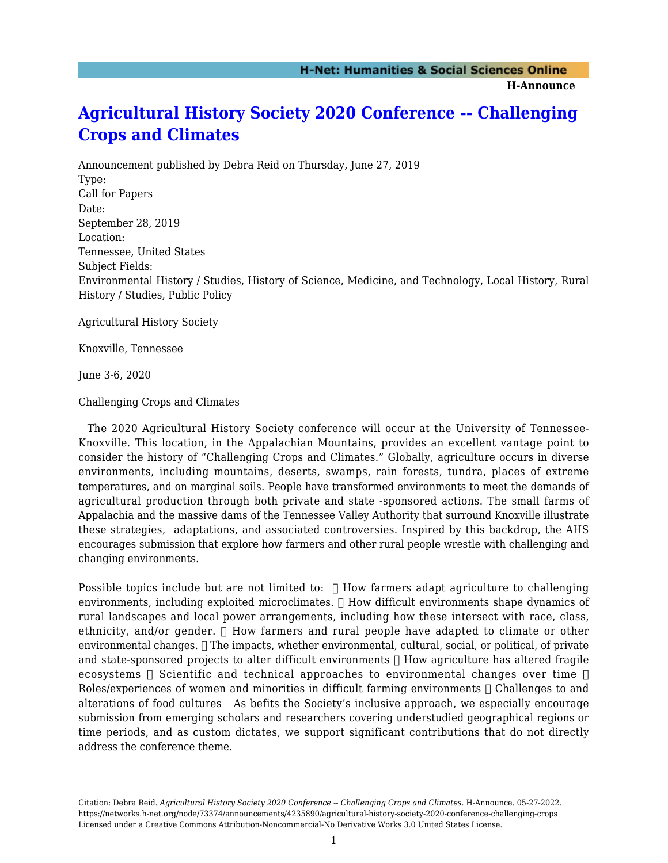**H-Announce** 

## **[Agricultural History Society 2020 Conference -- Challenging](https://networks.h-net.org/node/73374/announcements/4235890/agricultural-history-society-2020-conference-challenging-crops) [Crops and Climates](https://networks.h-net.org/node/73374/announcements/4235890/agricultural-history-society-2020-conference-challenging-crops)**

Announcement published by Debra Reid on Thursday, June 27, 2019 Type: Call for Papers Date: September 28, 2019 Location: Tennessee, United States Subject Fields: Environmental History / Studies, History of Science, Medicine, and Technology, Local History, Rural History / Studies, Public Policy

Agricultural History Society

Knoxville, Tennessee

June 3-6, 2020

Challenging Crops and Climates

 The 2020 Agricultural History Society conference will occur at the University of Tennessee-Knoxville. This location, in the Appalachian Mountains, provides an excellent vantage point to consider the history of "Challenging Crops and Climates." Globally, agriculture occurs in diverse environments, including mountains, deserts, swamps, rain forests, tundra, places of extreme temperatures, and on marginal soils. People have transformed environments to meet the demands of agricultural production through both private and state -sponsored actions. The small farms of Appalachia and the massive dams of the Tennessee Valley Authority that surround Knoxville illustrate these strategies, adaptations, and associated controversies. Inspired by this backdrop, the AHS encourages submission that explore how farmers and other rural people wrestle with challenging and changing environments.

Possible topics include but are not limited to:  $\Box$  How farmers adapt agriculture to challenging environments, including exploited microclimates.  $\Box$  How difficult environments shape dynamics of rural landscapes and local power arrangements, including how these intersect with race, class, ethnicity, and/or gender.  $\Box$  How farmers and rural people have adapted to climate or other environmental changes.  $\Box$  The impacts, whether environmental, cultural, social, or political, of private and state-sponsored projects to alter difficult environments  $\Box$  How agriculture has altered fragile ecosystems  $\Box$  Scientific and technical approaches to environmental changes over time  $\Box$ Roles/experiences of women and minorities in difficult farming environments  $\Box$  Challenges to and alterations of food cultures As befits the Society's inclusive approach, we especially encourage submission from emerging scholars and researchers covering understudied geographical regions or time periods, and as custom dictates, we support significant contributions that do not directly address the conference theme.

Citation: Debra Reid. *Agricultural History Society 2020 Conference -- Challenging Crops and Climates*. H-Announce. 05-27-2022. https://networks.h-net.org/node/73374/announcements/4235890/agricultural-history-society-2020-conference-challenging-crops Licensed under a Creative Commons Attribution-Noncommercial-No Derivative Works 3.0 United States License.